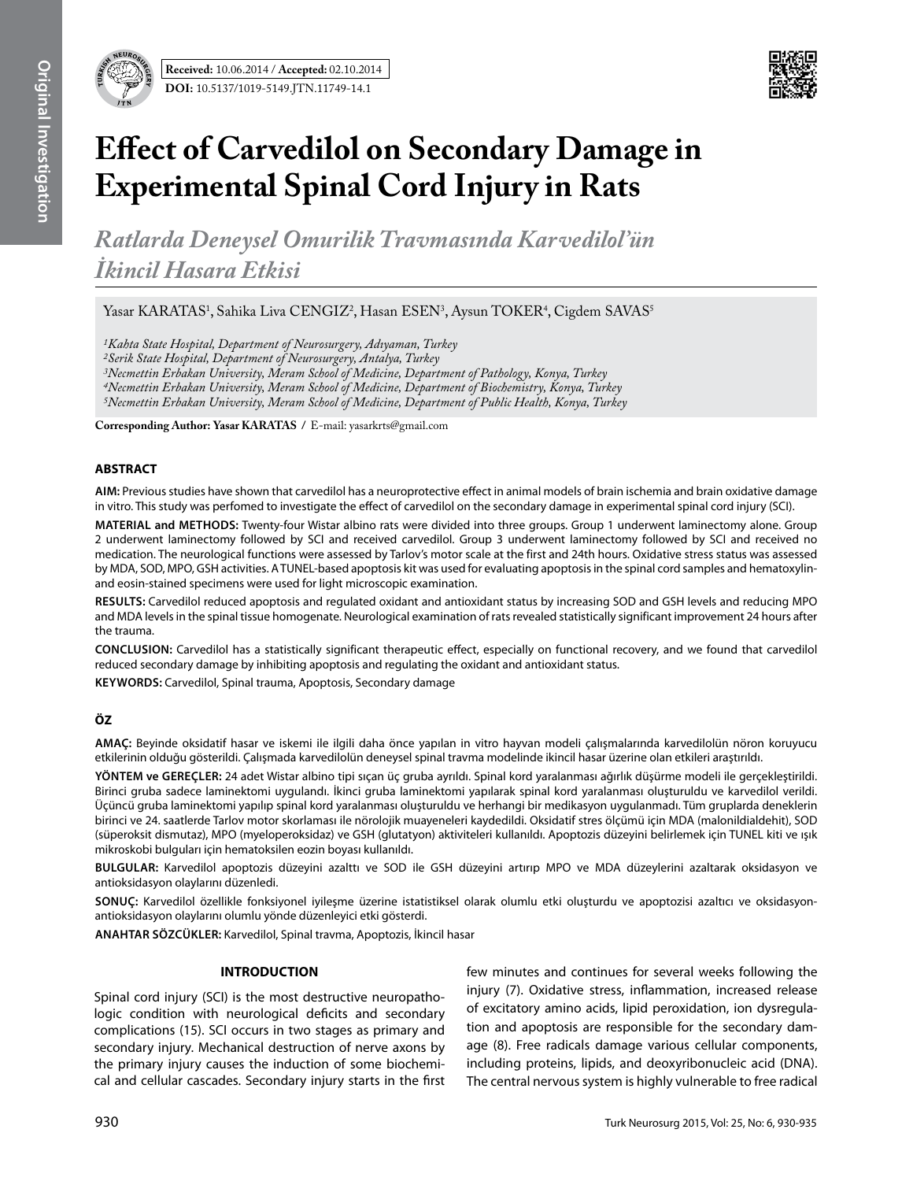

# **Effect of Carvedilol on Secondary Damage in Experimental Spinal Cord Injury in Rats**

*Ratlarda Deneysel Omurilik Travmasında Karvedilol'ün İkincil Hasara Etkisi*

Yasar KARATAS<sup>1</sup>, Sahika Liva CENGIZ<sup>2</sup>, Hasan ESEN<sup>3</sup>, Aysun TOKER<sup>4</sup>, Cigdem SAVAS<sup>5</sup>

*1Kahta State Hospital, Department of Neurosurgery, Adıyaman, Turkey 2Serik State Hospital, Department of Neurosurgery, Antalya, Turkey 3Necmettin Erbakan University, Meram School of Medicine, Department of Pathology, Konya, Turkey 4Necmettin Erbakan University, Meram School of Medicine, Department of Biochemistry, Konya, Turkey*

*5Necmettin Erbakan University, Meram School of Medicine, Department of Public Health, Konya, Turkey*

**Corresponding Author: Yasar KARATAS /** E-mail: yasarkrts@gmail.com

## **ABSTRACT**

**AIm:** Previous studies have shown that carvedilol has a neuroprotective effect in animal models of brain ischemia and brain oxidative damage in vitro. This study was perfomed to investigate the effect of carvedilol on the secondary damage in experimental spinal cord injury (SCI).

**MATERIAL and METHODS:** Twenty-four Wistar albino rats were divided into three groups. Group 1 underwent laminectomy alone. Group 2 underwent laminectomy followed by SCI and received carvedilol. Group 3 underwent laminectomy followed by SCI and received no medication. The neurological functions were assessed by Tarlov's motor scale at the first and 24th hours. Oxidative stress status was assessed by MDA, SOD, MPO, GSH activities. A TUNEL-based apoptosis kit was used for evaluating apoptosis in the spinal cord samples and hematoxylinand eosin-stained specimens were used for light microscopic examination.

**Results:** Carvedilol reduced apoptosis and regulated oxidant and antioxidant status by increasing SOD and GSH levels and reducing MPO and MDA levels in the spinal tissue homogenate. Neurological examination of rats revealed statistically significant improvement 24 hours after the trauma.

**ConclusIon:** Carvedilol has a statistically significant therapeutic effect, especially on functional recovery, and we found that carvedilol reduced secondary damage by inhibiting apoptosis and regulating the oxidant and antioxidant status.

**Keywords:** Carvedilol, Spinal trauma, Apoptosis, Secondary damage

## **ÖZ**

**AMAÇ:** Beyinde oksidatif hasar ve iskemi ile ilgili daha önce yapılan in vitro hayvan modeli çalışmalarında karvedilolün nöron koruyucu etkilerinin olduğu gösterildi. Çalışmada karvedilolün deneysel spinal travma modelinde ikincil hasar üzerine olan etkileri araştırıldı.

**YÖNTEM ve GEREÇLER:** 24 adet Wistar albino tipi sıçan üç gruba ayrıldı. Spinal kord yaralanması ağırlık düşürme modeli ile gerçekleştirildi. Birinci gruba sadece laminektomi uygulandı. İkinci gruba laminektomi yapılarak spinal kord yaralanması oluşturuldu ve karvedilol verildi. Üçüncü gruba laminektomi yapılıp spinal kord yaralanması oluşturuldu ve herhangi bir medikasyon uygulanmadı. Tüm gruplarda deneklerin birinci ve 24. saatlerde Tarlov motor skorlaması ile nörolojik muayeneleri kaydedildi. Oksidatif stres ölçümü için MDA (malonildialdehit), SOD (süperoksit dismutaz), MPO (myeloperoksidaz) ve GSH (glutatyon) aktiviteleri kullanıldı. Apoptozis düzeyini belirlemek için TUNEL kiti ve ışık mikroskobi bulguları için hematoksilen eozin boyası kullanıldı.

**BULGULAR:** Karvedilol apoptozis düzeyini azalttı ve SOD ile GSH düzeyini artırıp MPO ve MDA düzeylerini azaltarak oksidasyon ve antioksidasyon olaylarını düzenledi.

**SONUÇ:** Karvedilol özellikle fonksiyonel iyileşme üzerine istatistiksel olarak olumlu etki oluşturdu ve apoptozisi azaltıcı ve oksidasyonantioksidasyon olaylarını olumlu yönde düzenleyici etki gösterdi.

**ANAHTAR SÖZCÜKLER:** Karvedilol, Spinal travma, Apoptozis, İkincil hasar

## **INTRODUCTION**

Spinal cord injury (SCI) is the most destructive neuropathologic condition with neurological deficits and secondary complications (15). SCI occurs in two stages as primary and secondary injury. Mechanical destruction of nerve axons by the primary injury causes the induction of some biochemical and cellular cascades. Secondary injury starts in the first few minutes and continues for several weeks following the injury (7). Oxidative stress, inflammation, increased release of excitatory amino acids, lipid peroxidation, ion dysregulation and apoptosis are responsible for the secondary damage (8). Free radicals damage various cellular components, including proteins, lipids, and deoxyribonucleic acid (DNA). The central nervous system is highly vulnerable to free radical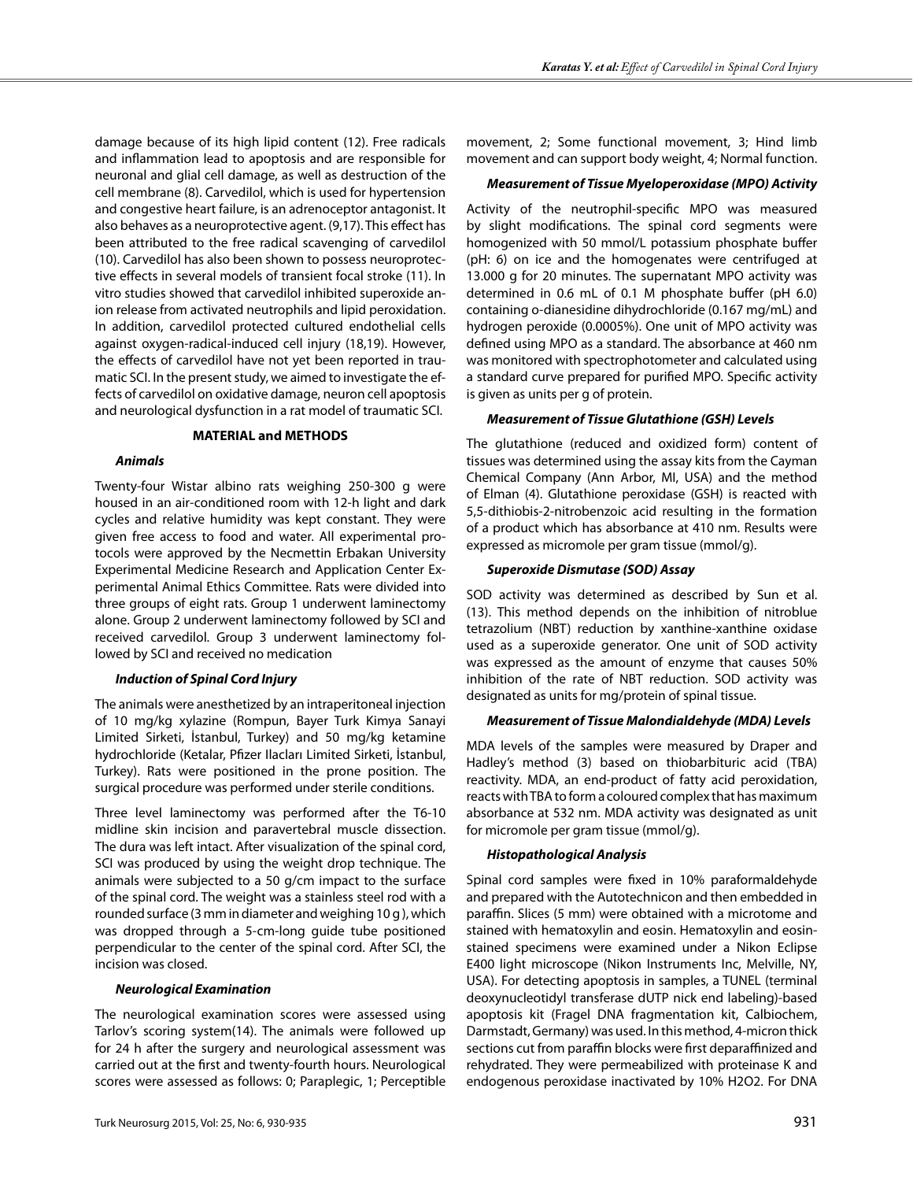damage because of its high lipid content (12). Free radicals and inflammation lead to apoptosis and are responsible for neuronal and glial cell damage, as well as destruction of the cell membrane (8). Carvedilol, which is used for hypertension and congestive heart failure, is an adrenoceptor antagonist. It also behaves as a neuroprotective agent. (9,17). This effect has been attributed to the free radical scavenging of carvedilol (10). Carvedilol has also been shown to possess neuroprotective effects in several models of transient focal stroke (11). In vitro studies showed that carvedilol inhibited superoxide anion release from activated neutrophils and lipid peroxidation. In addition, carvedilol protected cultured endothelial cells against oxygen-radical-induced cell injury (18,19). However, the effects of carvedilol have not yet been reported in traumatic SCI. In the present study, we aimed to investigate the effects of carvedilol on oxidative damage, neuron cell apoptosis and neurological dysfunction in a rat model of traumatic SCI.

#### **MATERIAL and METHODS**

#### *Animals*

Twenty-four Wistar albino rats weighing 250-300 g were housed in an air-conditioned room with 12-h light and dark cycles and relative humidity was kept constant. They were given free access to food and water. All experimental protocols were approved by the Necmettin Erbakan University Experimental Medicine Research and Application Center Experimental Animal Ethics Committee. Rats were divided into three groups of eight rats. Group 1 underwent laminectomy alone. Group 2 underwent laminectomy followed by SCI and received carvedilol. Group 3 underwent laminectomy followed by SCI and received no medication

## *Induction of Spinal Cord Injury*

The animals were anesthetized by an intraperitoneal injection of 10 mg/kg xylazine (Rompun, Bayer Turk Kimya Sanayi Limited Sirketi, İstanbul, Turkey) and 50 mg/kg ketamine hydrochloride (Ketalar, Pfizer Ilacları Limited Sirketi, İstanbul, Turkey). Rats were positioned in the prone position. The surgical procedure was performed under sterile conditions.

Three level laminectomy was performed after the T6-10 midline skin incision and paravertebral muscle dissection. The dura was left intact. After visualization of the spinal cord, SCI was produced by using the weight drop technique. The animals were subjected to a 50 g/cm impact to the surface of the spinal cord. The weight was a stainless steel rod with a rounded surface (3 mm in diameter and weighing 10 g ), which was dropped through a 5-cm-long guide tube positioned perpendicular to the center of the spinal cord. After SCI, the incision was closed.

## *Neurological Examination*

The neurological examination scores were assessed using Tarlov's scoring system(14). The animals were followed up for 24 h after the surgery and neurological assessment was carried out at the first and twenty-fourth hours. Neurological scores were assessed as follows: 0; Paraplegic, 1; Perceptible movement, 2; Some functional movement, 3; Hind limb movement and can support body weight, 4; Normal function.

## *Measurement of Tissue Myeloperoxidase (MPO) Activity*

Activity of the neutrophil-specific MPO was measured by slight modifications. The spinal cord segments were homogenized with 50 mmol/L potassium phosphate buffer (pH: 6) on ice and the homogenates were centrifuged at 13.000 g for 20 minutes. The supernatant MPO activity was determined in 0.6 mL of 0.1 M phosphate buffer (pH 6.0) containing o-dianesidine dihydrochloride (0.167 mg/mL) and hydrogen peroxide (0.0005%). One unit of MPO activity was defined using MPO as a standard. The absorbance at 460 nm was monitored with spectrophotometer and calculated using a standard curve prepared for purified MPO. Specific activity is given as units per g of protein.

## *Measurement of Tissue Glutathione (GSH) Levels*

The glutathione (reduced and oxidized form) content of tissues was determined using the assay kits from the Cayman Chemical Company (Ann Arbor, MI, USA) and the method of Elman (4). Glutathione peroxidase (GSH) is reacted with 5,5-dithiobis-2-nitrobenzoic acid resulting in the formation of a product which has absorbance at 410 nm. Results were expressed as micromole per gram tissue (mmol/g).

## *Superoxide Dismutase (SOD) Assay*

SOD activity was determined as described by Sun et al. (13). This method depends on the inhibition of nitroblue tetrazolium (NBT) reduction by xanthine-xanthine oxidase used as a superoxide generator. One unit of SOD activity was expressed as the amount of enzyme that causes 50% inhibition of the rate of NBT reduction. SOD activity was designated as units for mg/protein of spinal tissue.

## *Measurement of Tissue Malondialdehyde (MDA) Levels*

MDA levels of the samples were measured by Draper and Hadley's method (3) based on thiobarbituric acid (TBA) reactivity. MDA, an end-product of fatty acid peroxidation, reacts with TBA to form a coloured complex that has maximum absorbance at 532 nm. MDA activity was designated as unit for micromole per gram tissue (mmol/g).

## *Histopathological Analysis*

Spinal cord samples were fixed in 10% paraformaldehyde and prepared with the Autotechnicon and then embedded in paraffin. Slices (5 mm) were obtained with a microtome and stained with hematoxylin and eosin. Hematoxylin and eosinstained specimens were examined under a Nikon Eclipse E400 light microscope (Nikon Instruments Inc, Melville, NY, USA). For detecting apoptosis in samples, a TUNEL (terminal deoxynucleotidyl transferase dUTP nick end labeling)-based apoptosis kit (Fragel DNA fragmentation kit, Calbiochem, Darmstadt, Germany) was used. In this method, 4-micron thick sections cut from paraffin blocks were first deparaffinized and rehydrated. They were permeabilized with proteinase K and endogenous peroxidase inactivated by 10% H2O2. For DNA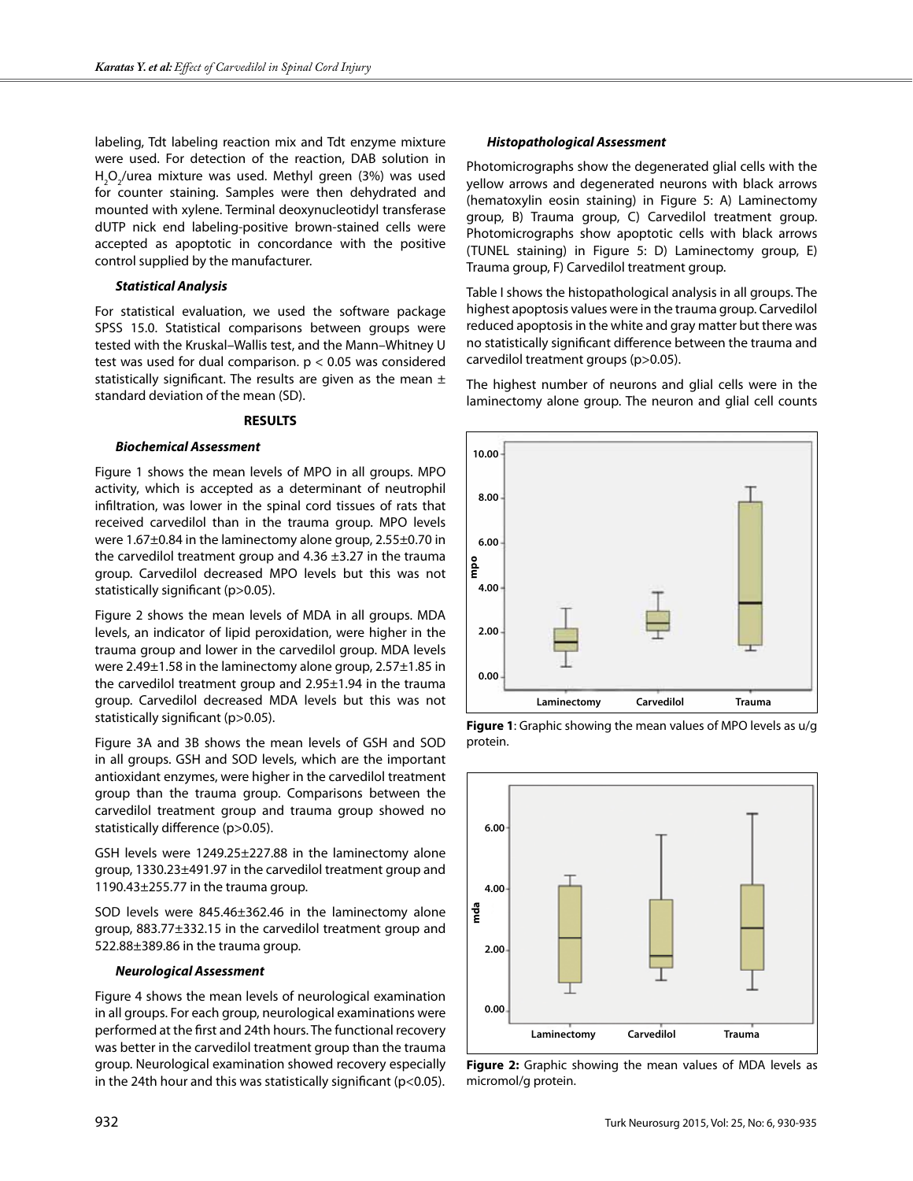labeling, Tdt labeling reaction mix and Tdt enzyme mixture were used. For detection of the reaction, DAB solution in  $H_2O_2$ /urea mixture was used. Methyl green (3%) was used for counter staining. Samples were then dehydrated and mounted with xylene. Terminal deoxynucleotidyl transferase dUTP nick end labeling-positive brown-stained cells were accepted as apoptotic in concordance with the positive control supplied by the manufacturer.

## *Statistical Analysis*

For statistical evaluation, we used the software package SPSS 15.0. Statistical comparisons between groups were tested with the Kruskal–Wallis test, and the Mann–Whitney U test was used for dual comparison.  $p < 0.05$  was considered statistically significant. The results are given as the mean  $\pm$ standard deviation of the mean (SD).

## **RESULTS**

#### *Biochemical Assessment*

Figure 1 shows the mean levels of MPO in all groups. MPO activity, which is accepted as a determinant of neutrophil infiltration, was lower in the spinal cord tissues of rats that received carvedilol than in the trauma group. MPO levels were 1.67±0.84 in the laminectomy alone group, 2.55±0.70 in the carvedilol treatment group and  $4.36 \pm 3.27$  in the trauma group. Carvedilol decreased MPO levels but this was not statistically significant (p>0.05).

Figure 2 shows the mean levels of MDA in all groups. MDA levels, an indicator of lipid peroxidation, were higher in the trauma group and lower in the carvedilol group. MDA levels were 2.49±1.58 in the laminectomy alone group, 2.57±1.85 in the carvedilol treatment group and 2.95±1.94 in the trauma group. Carvedilol decreased MDA levels but this was not statistically significant (p>0.05).

Figure 3A and 3B shows the mean levels of GSH and SOD in all groups. GSH and SOD levels, which are the important antioxidant enzymes, were higher in the carvedilol treatment group than the trauma group. Comparisons between the carvedilol treatment group and trauma group showed no statistically difference (p>0.05).

GSH levels were 1249.25±227.88 in the laminectomy alone group, 1330.23±491.97 in the carvedilol treatment group and 1190.43 $\pm$ 255.77 in the trauma group.

SOD levels were 845.46±362.46 in the laminectomy alone group, 883.77±332.15 in the carvedilol treatment group and 522.88±389.86 in the trauma group.

#### *Neurological Assessment*

Figure 4 shows the mean levels of neurological examination in all groups. For each group, neurological examinations were performed at the first and 24th hours. The functional recovery was better in the carvedilol treatment group than the trauma group. Neurological examination showed recovery especially in the 24th hour and this was statistically significant (p<0.05).

#### *Histopathological Assessment*

Photomicrographs show the degenerated glial cells with the yellow arrows and degenerated neurons with black arrows (hematoxylin eosin staining) in Figure 5: A) Laminectomy group, B) Trauma group, C) Carvedilol treatment group. Photomicrographs show apoptotic cells with black arrows (TUNEL staining) in Figure 5: D) Laminectomy group, E) Trauma group, F) Carvedilol treatment group.

Table I shows the histopathological analysis in all groups. The highest apoptosis values were in the trauma group. Carvedilol reduced apoptosis in the white and gray matter but there was no statistically significant difference between the trauma and carvedilol treatment groups (p>0.05).

The highest number of neurons and glial cells were in the laminectomy alone group. The neuron and glial cell counts







**Figure 2:** Graphic showing the mean values of MDA levels as micromol/g protein.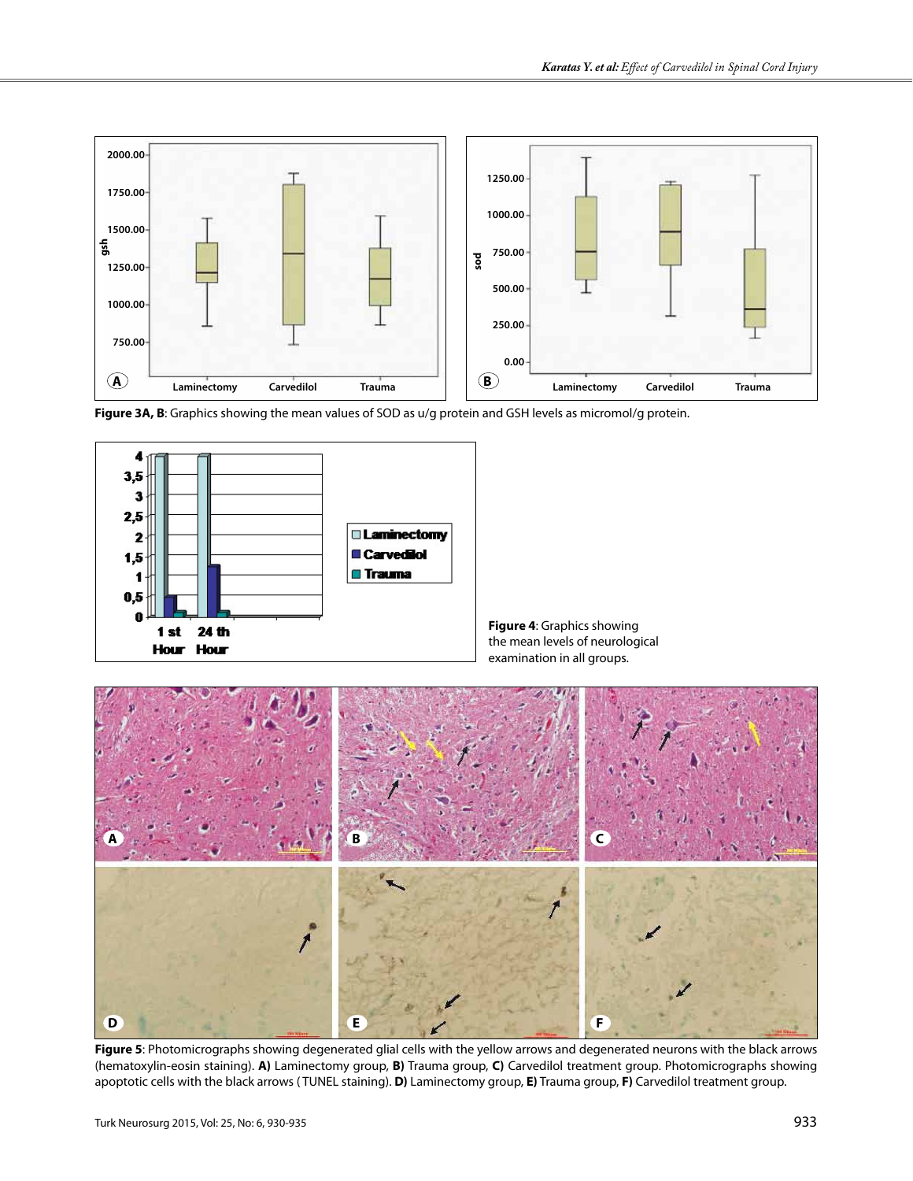







**Figure 5**: Photomicrographs showing degenerated glial cells with the yellow arrows and degenerated neurons with the black arrows (hematoxylin-eosin staining). **A)** Laminectomy group, **B)** Trauma group, **C)** Carvedilol treatment group. Photomicrographs showing apoptotic cells with the black arrows ( TUNEL staining). **D)** Laminectomy group, **E)** Trauma group, **F)** Carvedilol treatment group.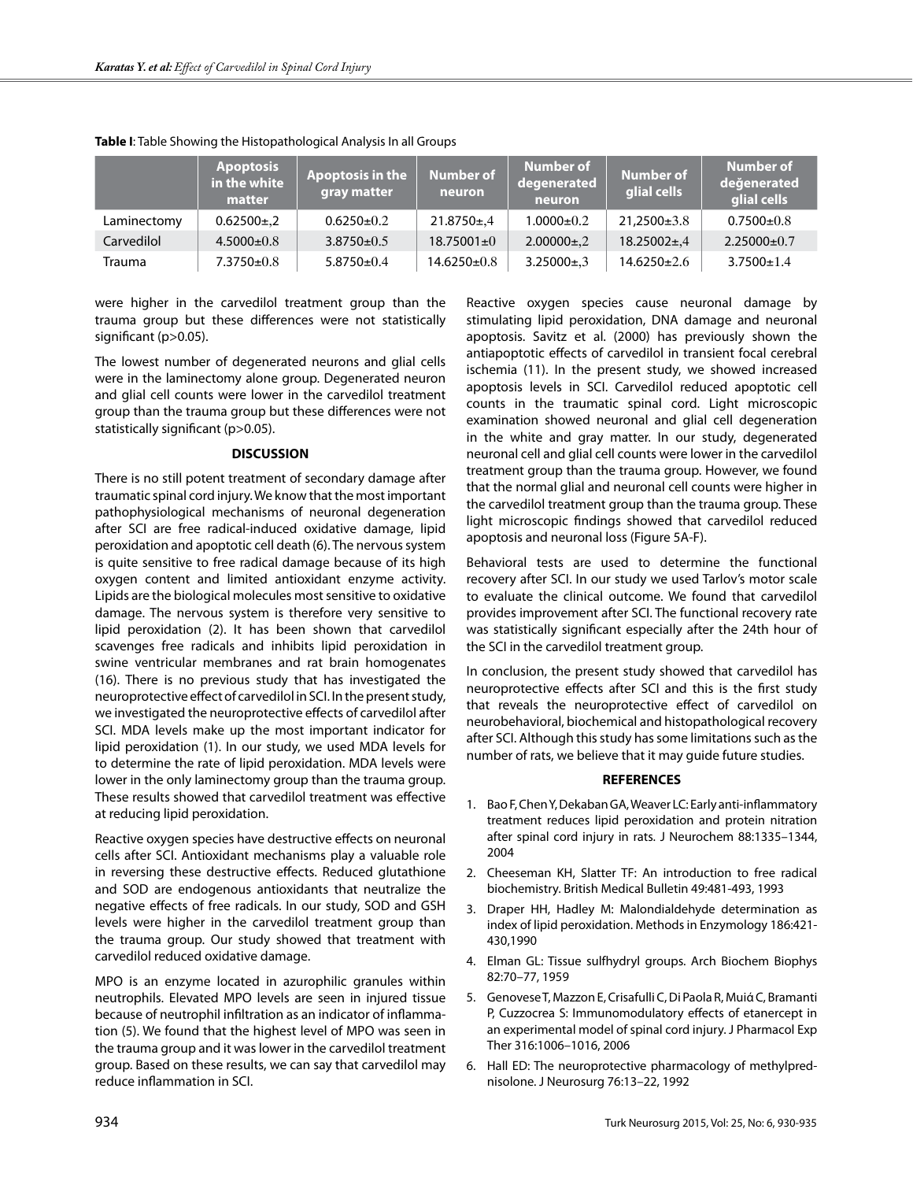|             | <b>Apoptosis</b><br>in the white<br>matter | <b>Apoptosis in the</b><br>gray matter | Number of<br>neuron | Number of<br>degenerated<br>neuron | Number of<br>glial cells | Number of<br>değenerated<br>glial cells |
|-------------|--------------------------------------------|----------------------------------------|---------------------|------------------------------------|--------------------------|-----------------------------------------|
| Laminectomy | $0.62500 \pm 0.2$                          | $0.6250 \pm 0.2$                       | $21.8750 \pm 0.4$   | $1.0000 \pm 0.2$                   | $21,2500\pm3.8$          | $0.7500 \pm 0.8$                        |
| Carvedilol  | $4.5000 \pm 0.8$                           | $3.8750 \pm 0.5$                       | $18.75001 \pm 0$    | $2.00000\pm.2$                     | $18.25002 \pm 0.4$       | $2.25000+0.7$                           |
| Trauma      | $7.3750 \pm 0.8$                           | $5.8750 \pm 0.4$                       | 14.6250±0.8         | $3.25000 \pm 0.3$                  | $14.6250 \pm 2.6$        | $3.7500 \pm 1.4$                        |

**Table I**: Table Showing the Histopathological Analysis In all Groups

were higher in the carvedilol treatment group than the trauma group but these differences were not statistically significant (p>0.05).

The lowest number of degenerated neurons and glial cells were in the laminectomy alone group. Degenerated neuron and glial cell counts were lower in the carvedilol treatment group than the trauma group but these differences were not statistically significant (p>0.05).

## **DISCUSSION**

There is no still potent treatment of secondary damage after traumatic spinal cord injury. We know that the most important pathophysiological mechanisms of neuronal degeneration after SCI are free radical-induced oxidative damage, lipid peroxidation and apoptotic cell death (6). The nervous system is quite sensitive to free radical damage because of its high oxygen content and limited antioxidant enzyme activity. Lipids are the biological molecules most sensitive to oxidative damage. The nervous system is therefore very sensitive to lipid peroxidation (2). It has been shown that carvedilol scavenges free radicals and inhibits lipid peroxidation in swine ventricular membranes and rat brain homogenates (16). There is no previous study that has investigated the neuroprotective effect of carvedilol in SCI. In the present study, we investigated the neuroprotective effects of carvedilol after SCI. MDA levels make up the most important indicator for lipid peroxidation (1). In our study, we used MDA levels for to determine the rate of lipid peroxidation. MDA levels were lower in the only laminectomy group than the trauma group. These results showed that carvedilol treatment was effective at reducing lipid peroxidation.

Reactive oxygen species have destructive effects on neuronal cells after SCI. Antioxidant mechanisms play a valuable role in reversing these destructive effects. Reduced glutathione and SOD are endogenous antioxidants that neutralize the negative effects of free radicals. In our study, SOD and GSH levels were higher in the carvedilol treatment group than the trauma group. Our study showed that treatment with carvedilol reduced oxidative damage.

MPO is an enzyme located in azurophilic granules within neutrophils. Elevated MPO levels are seen in injured tissue because of neutrophil infiltration as an indicator of inflammation (5). We found that the highest level of MPO was seen in the trauma group and it was lower in the carvedilol treatment group. Based on these results, we can say that carvedilol may reduce inflammation in SCI.

Reactive oxygen species cause neuronal damage by stimulating lipid peroxidation, DNA damage and neuronal apoptosis. Savitz et al. (2000) has previously shown the antiapoptotic effects of carvedilol in transient focal cerebral ischemia (11). In the present study, we showed increased apoptosis levels in SCI. Carvedilol reduced apoptotic cell counts in the traumatic spinal cord. Light microscopic examination showed neuronal and glial cell degeneration in the white and gray matter. In our study, degenerated neuronal cell and glial cell counts were lower in the carvedilol treatment group than the trauma group. However, we found that the normal glial and neuronal cell counts were higher in the carvedilol treatment group than the trauma group. These light microscopic findings showed that carvedilol reduced apoptosis and neuronal loss (Figure 5A-F).

Behavioral tests are used to determine the functional recovery after SCI. In our study we used Tarlov's motor scale to evaluate the clinical outcome. We found that carvedilol provides improvement after SCI. The functional recovery rate was statistically significant especially after the 24th hour of the SCI in the carvedilol treatment group.

In conclusion, the present study showed that carvedilol has neuroprotective effects after SCI and this is the first study that reveals the neuroprotective effect of carvedilol on neurobehavioral, biochemical and histopathological recovery after SCI. Although this study has some limitations such as the number of rats, we believe that it may guide future studies.

## **REFERENCES**

- 1. Bao F, Chen Y, Dekaban GA, Weaver LC: Early anti-inflammatory treatment reduces lipid peroxidation and protein nitration after spinal cord injury in rats. J Neurochem 88:1335–1344, 2004
- 2. Cheeseman KH, Slatter TF: An introduction to free radical biochemistry. British Medical Bulletin 49:481-493, 1993
- 3. Draper HH, Hadley M: Malondialdehyde determination as index of lipid peroxidation. Methods in Enzymology 186:421- 430,1990
- 4. Elman GL: Tissue sulfhydryl groups. Arch Biochem Biophys 82:70–77, 1959
- 5. Genovese T, Mazzon E, Crisafulli C, Di Paola R, Muiά C, Bramanti P, Cuzzocrea S: Immunomodulatory effects of etanercept in an experimental model of spinal cord injury. J Pharmacol Exp Ther 316:1006–1016, 2006
- 6. Hall ED: The neuroprotective pharmacology of methylprednisolone. J Neurosurg 76:13–22, 1992